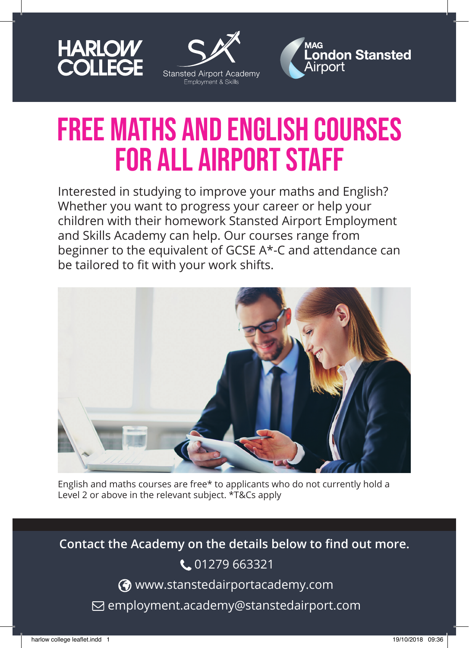





## FREE Maths and English Courses FOR ALL AIRPORT STAFF

Interested in studying to improve your maths and English? Whether you want to progress your career or help your children with their homework Stansted Airport Employment and Skills Academy can help. Our courses range from beginner to the equivalent of GCSE A\*-C and attendance can be tailored to fit with your work shifts.



English and maths courses are free\* to applicants who do not currently hold a Level 2 or above in the relevant subject. \*T&Cs apply

**Contact the Academy on the details below to find out more.** C 01279 663321 www.stanstedairportacademy.com  $\boxdot$  employment.academy@stanstedairport.com